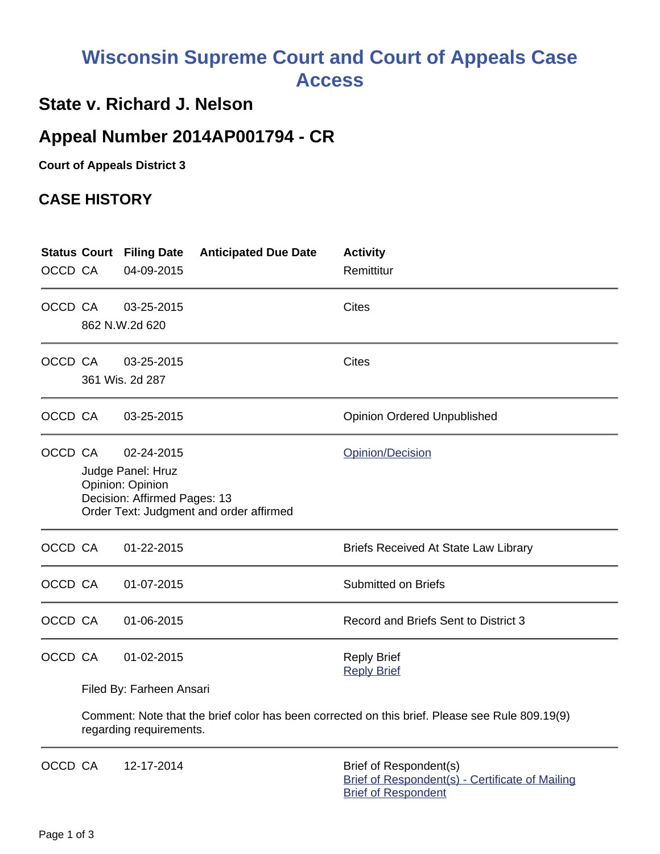# **Wisconsin Supreme Court and Court of Appeals Case Access**

# **State v. Richard J. Nelson**

# **Appeal Number 2014AP001794 - CR**

**Court of Appeals District 3**

## **CASE HISTORY**

|         |                                                                                                                                                    | <b>Status Court Filing Date</b>                                                                                           | <b>Anticipated Due Date</b> | <b>Activity</b>                                                           |  |  |
|---------|----------------------------------------------------------------------------------------------------------------------------------------------------|---------------------------------------------------------------------------------------------------------------------------|-----------------------------|---------------------------------------------------------------------------|--|--|
| OCCD CA |                                                                                                                                                    | 04-09-2015                                                                                                                |                             | Remittitur                                                                |  |  |
| OCCD CA |                                                                                                                                                    | 03-25-2015<br>862 N.W.2d 620                                                                                              |                             | <b>Cites</b>                                                              |  |  |
| OCCD CA |                                                                                                                                                    | 03-25-2015<br>361 Wis. 2d 287                                                                                             |                             | <b>Cites</b>                                                              |  |  |
| OCCD CA |                                                                                                                                                    | 03-25-2015                                                                                                                |                             | <b>Opinion Ordered Unpublished</b>                                        |  |  |
| OCCD CA | 02-24-2015<br>Opinion/Decision<br>Judge Panel: Hruz<br>Opinion: Opinion<br>Decision: Affirmed Pages: 13<br>Order Text: Judgment and order affirmed |                                                                                                                           |                             |                                                                           |  |  |
| OCCD CA |                                                                                                                                                    | 01-22-2015                                                                                                                |                             | <b>Briefs Received At State Law Library</b>                               |  |  |
| OCCD CA |                                                                                                                                                    | 01-07-2015                                                                                                                |                             | <b>Submitted on Briefs</b>                                                |  |  |
| OCCD CA |                                                                                                                                                    | 01-06-2015                                                                                                                |                             | Record and Briefs Sent to District 3                                      |  |  |
| OCCD CA |                                                                                                                                                    | 01-02-2015                                                                                                                |                             | <b>Reply Brief</b><br><b>Reply Brief</b>                                  |  |  |
|         | Filed By: Farheen Ansari                                                                                                                           |                                                                                                                           |                             |                                                                           |  |  |
|         |                                                                                                                                                    | Comment: Note that the brief color has been corrected on this brief. Please see Rule 809.19(9)<br>regarding requirements. |                             |                                                                           |  |  |
| OCCD CA |                                                                                                                                                    | 12-17-2014                                                                                                                |                             | Brief of Respondent(s)<br>Brief of Respondent(s) - Certificate of Mailing |  |  |

[Brief of Respondent](https://acefiling.wicourts.gov/document/eFiled/2014AP001794/132187)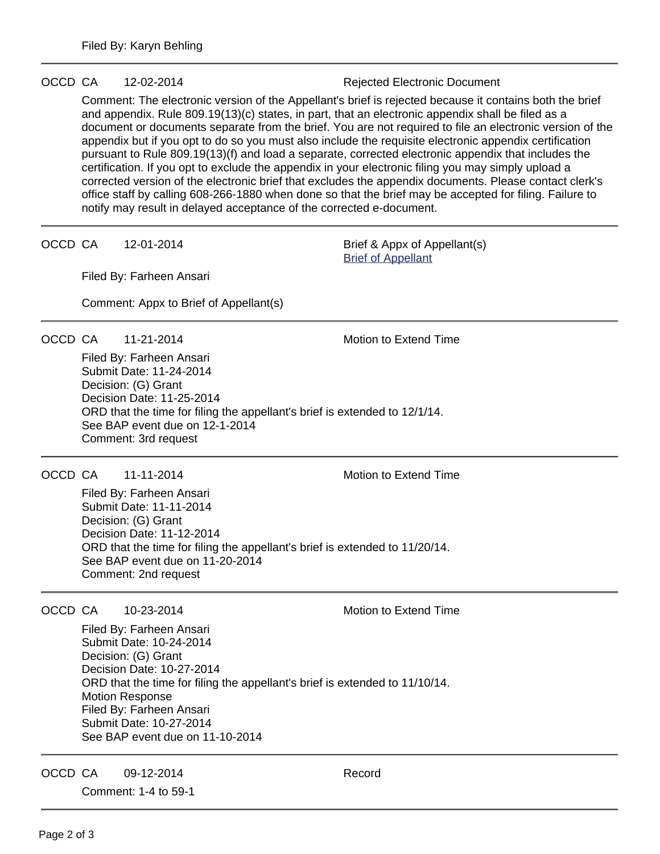### OCCD CA 12-02-2014 Rejected Electronic Document

Comment: The electronic version of the Appellant's brief is rejected because it contains both the brief and appendix. Rule 809.19(13)(c) states, in part, that an electronic appendix shall be filed as a document or documents separate from the brief. You are not required to file an electronic version of the appendix but if you opt to do so you must also include the requisite electronic appendix certification pursuant to Rule 809.19(13)(f) and load a separate, corrected electronic appendix that includes the certification. If you opt to exclude the appendix in your electronic filing you may simply upload a corrected version of the electronic brief that excludes the appendix documents. Please contact clerk's office staff by calling 608-266-1880 when done so that the brief may be accepted for filing. Failure to notify may result in delayed acceptance of the corrected e-document.

OCCD CA 12-01-2014 Brief & Appx of Appellant(s)

[Brief of Appellant](https://acefiling.wicourts.gov/document/eFiled/2014AP001794/131307)

Filed By: Farheen Ansari

Comment: Appx to Brief of Appellant(s)

OCCD CA 11-21-2014 Motion to Extend Time

Filed By: Farheen Ansari Submit Date: 11-24-2014 Decision: (G) Grant Decision Date: 11-25-2014 ORD that the time for filing the appellant's brief is extended to 12/1/14. See BAP event due on 12-1-2014 Comment: 3rd request

## OCCD CA 11-11-2014 Motion to Extend Time

Filed By: Farheen Ansari Submit Date: 11-11-2014 Decision: (G) Grant Decision Date: 11-12-2014 ORD that the time for filing the appellant's brief is extended to 11/20/14. See BAP event due on 11-20-2014 Comment: 2nd request

OCCD CA 10-23-2014 Motion to Extend Time

Filed By: Farheen Ansari Submit Date: 10-24-2014 Decision: (G) Grant Decision Date: 10-27-2014 ORD that the time for filing the appellant's brief is extended to 11/10/14. Motion Response Filed By: Farheen Ansari Submit Date: 10-27-2014 See BAP event due on 11-10-2014

OCCD CA 09-12-2014 Record

Comment: 1-4 to 59-1